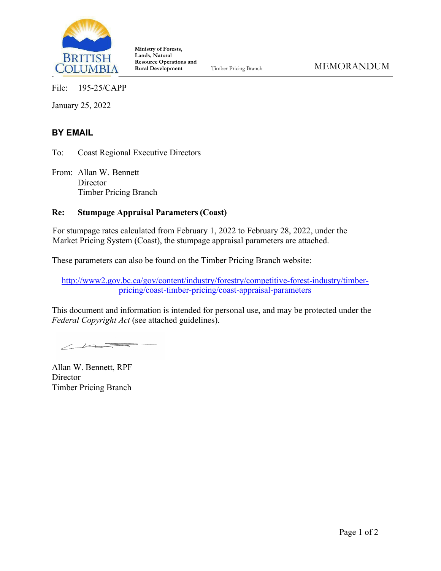

**Ministry of Forests, Lands, Natural Resource Operations and** 

File: 195-25/CAPP

January 25, 2022

#### **BY EMAIL**

To: Coast Regional Executive Directors

From: Allan W. Bennett **Director** Timber Pricing Branch

#### **Re: Stumpage Appraisal Parameters (Coast)**

For stumpage rates calculated from February 1, 2022 to February 28, 2022, under the Market Pricing System (Coast), the stumpage appraisal parameters are attached.

These parameters can also be found on the Timber Pricing Branch website:

[http://www2.gov.bc.ca/gov/content/industry/forestry/competitive-forest-industry/timber](http://www2.gov.bc.ca/gov/content/industry/forestry/competitive-forest-industry/timber-pricing/coast-timber-pricing/coast-appraisal-parameters)[pricing/coast-timber-pricing/coast-appraisal-parameters](http://www2.gov.bc.ca/gov/content/industry/forestry/competitive-forest-industry/timber-pricing/coast-timber-pricing/coast-appraisal-parameters)

This document and information is intended for personal use, and may be protected under the *Federal Copyright Act* (see attached guidelines).

 $\angle$ 

Allan W. Bennett, RPF **Director** Timber Pricing Branch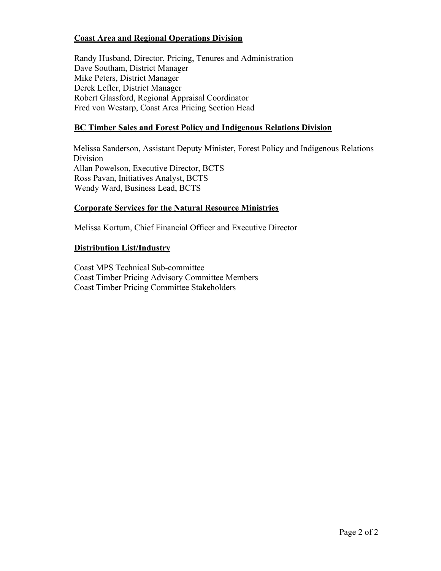#### **Coast Area and Regional Operations Division**

Randy Husband, Director, Pricing, Tenures and Administration Dave Southam, District Manager Mike Peters, District Manager Derek Lefler, District Manager Robert Glassford, Regional Appraisal Coordinator Fred von Westarp, Coast Area Pricing Section Head

#### **BC Timber Sales and Forest Policy and Indigenous Relations Division**

Melissa Sanderson, Assistant Deputy Minister, Forest Policy and Indigenous Relations Division Allan Powelson, Executive Director, BCTS Ross Pavan, Initiatives Analyst, BCTS Wendy Ward, Business Lead, BCTS

#### **Corporate Services for the Natural Resource Ministries**

Melissa Kortum, Chief Financial Officer and Executive Director

#### **Distribution List/Industry**

Coast MPS Technical Sub-committee Coast Timber Pricing Advisory Committee Members Coast Timber Pricing Committee Stakeholders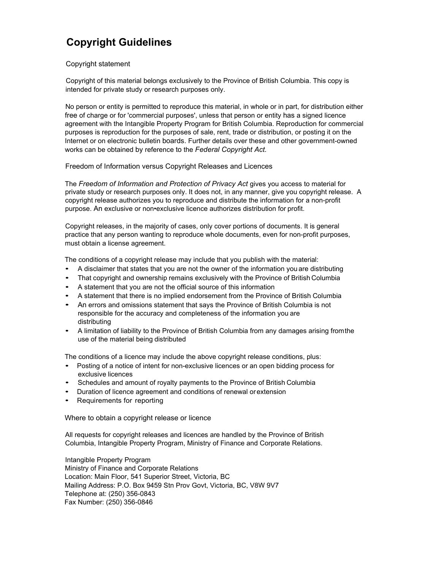### **Copyright Guidelines**

#### Copyright statement

Copyright of this material belongs exclusively to the Province of British Columbia. This copy is intended for private study or research purposes only.

No person or entity is permitted to reproduce this material, in whole or in part, for distribution either free of charge or for 'commercial purposes', unless that person or entity has a signed licence agreement with the Intangible Property Program for British Columbia. Reproduction for commercial purposes is reproduction for the purposes of sale, rent, trade or distribution, or posting it on the Internet or on electronic bulletin boards. Further details over these and other government-owned works can be obtained by reference to the *Federal Copyright Act.*

Freedom of Information versus Copyright Releases and Licences

The *Freedom of Information and Protection of Privacy Act* gives you access to material for private study or research purposes only. It does not, in any manner, give you copyright release. A copyright release authorizes you to reproduce and distribute the information for a non-profit purpose. An exclusive or non•exclusive licence authorizes distribution for profit.

Copyright releases, in the majority of cases, only cover portions of documents. It is general practice that any person wanting to reproduce whole documents, even for non-profit purposes, must obtain a license agreement.

The conditions of a copyright release may include that you publish with the material:

- A disclaimer that states that you are not the owner of the information you are distributing
- That copyright and ownership remains exclusively with the Province of British Columbia
- A statement that you are not the official source of this information
- A statement that there is no implied endorsement from the Province of British Columbia
- An errors and omissions statement that says the Province of British Columbia is not responsible for the accuracy and completeness of the information you are distributing
- A limitation of liability to the Province of British Columbia from any damages arising fromthe use of the material being distributed

The conditions of a licence may include the above copyright release conditions, plus:

- Posting of a notice of intent for non-exclusive licences or an open bidding process for exclusive licences
- Schedules and amount of royalty payments to the Province of British Columbia
- Duration of licence agreement and conditions of renewal orextension
- Requirements for reporting

Where to obtain a copyright release or licence

All requests for copyright releases and licences are handled by the Province of British Columbia, Intangible Property Program, Ministry of Finance and Corporate Relations.

Intangible Property Program Ministry of Finance and Corporate Relations Location: Main Floor, 541 Superior Street, Victoria, BC Mailing Address: P.O. Box 9459 Stn Prov Govt, Victoria, BC, V8W 9V7 Telephone at: (250) 356-0843 Fax Number: (250) 356-0846